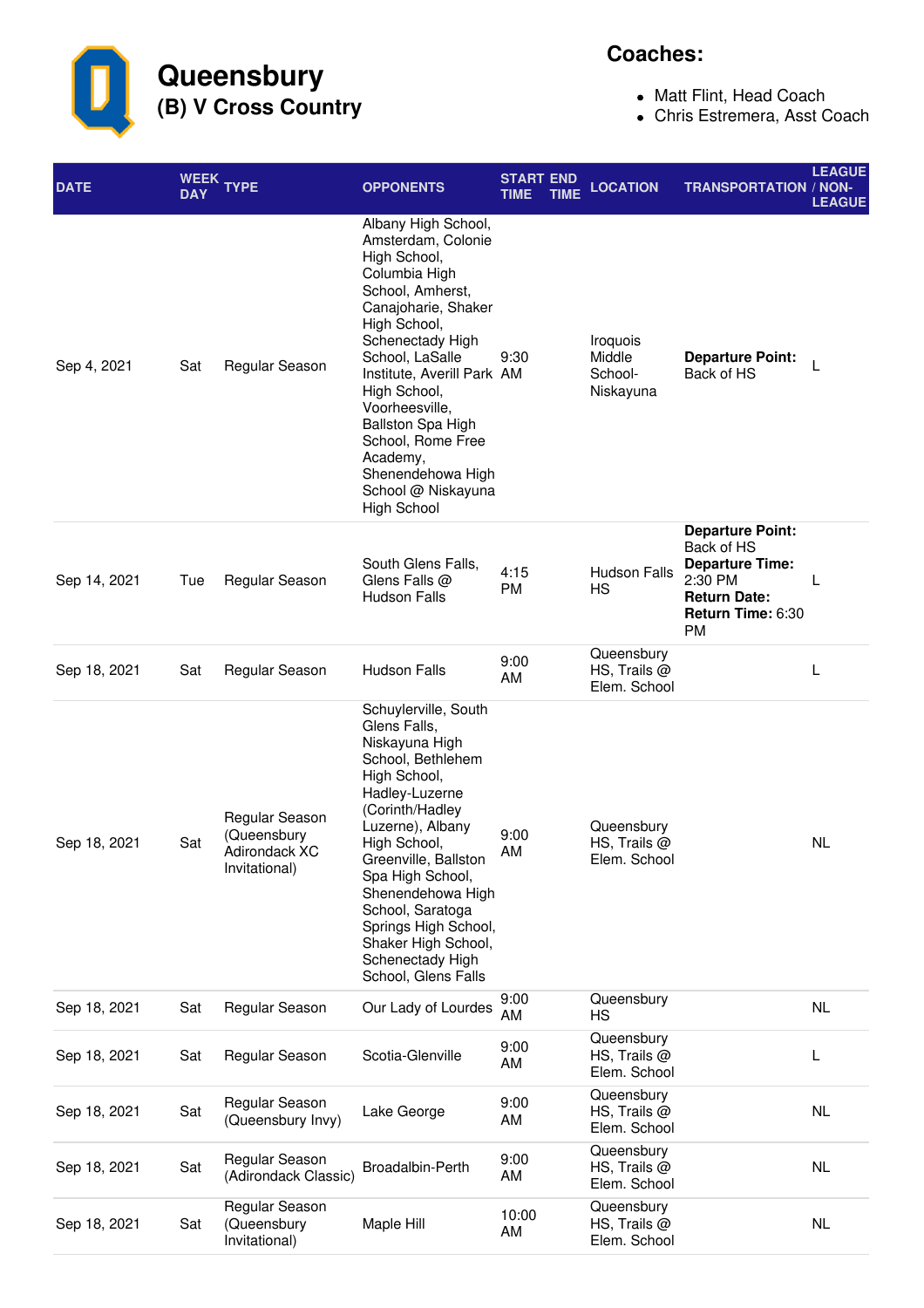**Queensbury (B) V Cross Country**

## **Coaches:**

- Matt Flint, Head Coach
- Chris Estremera, Asst Coach

| <b>DATE</b>  | <b>DAY</b> | WEEK TYPE                                                       | <b>OPPONENTS</b>                                                                                                                                                                                                                                                                                                                                                    | <b>START END</b><br><b>TIME</b> | <b>TIME</b> | <b>LOCATION</b>                              | <b>TRANSPORTATION / NON-</b>                                                                                                        | <b>LEAGUE</b><br><b>LEAGUE</b> |
|--------------|------------|-----------------------------------------------------------------|---------------------------------------------------------------------------------------------------------------------------------------------------------------------------------------------------------------------------------------------------------------------------------------------------------------------------------------------------------------------|---------------------------------|-------------|----------------------------------------------|-------------------------------------------------------------------------------------------------------------------------------------|--------------------------------|
| Sep 4, 2021  | Sat        | Regular Season                                                  | Albany High School,<br>Amsterdam, Colonie<br>High School,<br>Columbia High<br>School, Amherst,<br>Canajoharie, Shaker<br>High School,<br>Schenectady High<br>School, LaSalle<br>Institute, Averill Park AM<br>High School,<br>Voorheesville,<br>Ballston Spa High<br>School, Rome Free<br>Academy,<br>Shenendehowa High<br>School @ Niskayuna<br><b>High School</b> | 9:30                            |             | Iroquois<br>Middle<br>School-<br>Niskayuna   | <b>Departure Point:</b><br>Back of HS                                                                                               |                                |
| Sep 14, 2021 | Tue        | Regular Season                                                  | South Glens Falls,<br>Glens Falls @<br><b>Hudson Falls</b>                                                                                                                                                                                                                                                                                                          | 4:15<br>PM                      |             | <b>Hudson Falls</b><br>HS                    | <b>Departure Point:</b><br>Back of HS<br><b>Departure Time:</b><br>2:30 PM<br><b>Return Date:</b><br>Return Time: 6:30<br><b>PM</b> | L                              |
| Sep 18, 2021 | Sat        | Regular Season                                                  | <b>Hudson Falls</b>                                                                                                                                                                                                                                                                                                                                                 | 9:00<br>AM                      |             | Queensbury<br>HS, Trails $@$<br>Elem. School |                                                                                                                                     | L                              |
| Sep 18, 2021 | Sat        | Regular Season<br>(Queensbury<br>Adirondack XC<br>Invitational) | Schuylerville, South<br>Glens Falls,<br>Niskayuna High<br>School, Bethlehem<br>High School,<br>Hadley-Luzerne<br>(Corinth/Hadley<br>Luzerne), Albany<br>High School,<br>Greenville, Ballston<br>Spa High School,<br>Shenendehowa High<br>School, Saratoga<br>Springs High School,<br>Shaker High School,<br>Schenectady High<br>School, Glens Falls                 | 9:00<br>AM                      |             | Queensbury<br>HS, Trails $@$<br>Elem. School |                                                                                                                                     | NL                             |
| Sep 18, 2021 | Sat        | Regular Season                                                  | Our Lady of Lourdes                                                                                                                                                                                                                                                                                                                                                 | 9:00<br>AM                      |             | Queensbury<br>HS                             |                                                                                                                                     | NL                             |
| Sep 18, 2021 | Sat        | Regular Season                                                  | Scotia-Glenville                                                                                                                                                                                                                                                                                                                                                    | 9:00<br>AM                      |             | Queensbury<br>HS, Trails $@$<br>Elem. School |                                                                                                                                     | L                              |
| Sep 18, 2021 | Sat        | Regular Season<br>(Queensbury Invy)                             | Lake George                                                                                                                                                                                                                                                                                                                                                         | 9:00<br>AM                      |             | Queensbury<br>HS, Trails $@$<br>Elem. School |                                                                                                                                     | <b>NL</b>                      |
| Sep 18, 2021 | Sat        | Regular Season<br>(Adirondack Classic)                          | Broadalbin-Perth                                                                                                                                                                                                                                                                                                                                                    | 9:00<br>AM                      |             | Queensbury<br>HS, Trails @<br>Elem. School   |                                                                                                                                     | NL                             |
| Sep 18, 2021 | Sat        | Regular Season<br>(Queensbury<br>Invitational)                  | Maple Hill                                                                                                                                                                                                                                                                                                                                                          | 10:00<br>AM                     |             | Queensbury<br>HS, Trails @<br>Elem. School   |                                                                                                                                     | NL                             |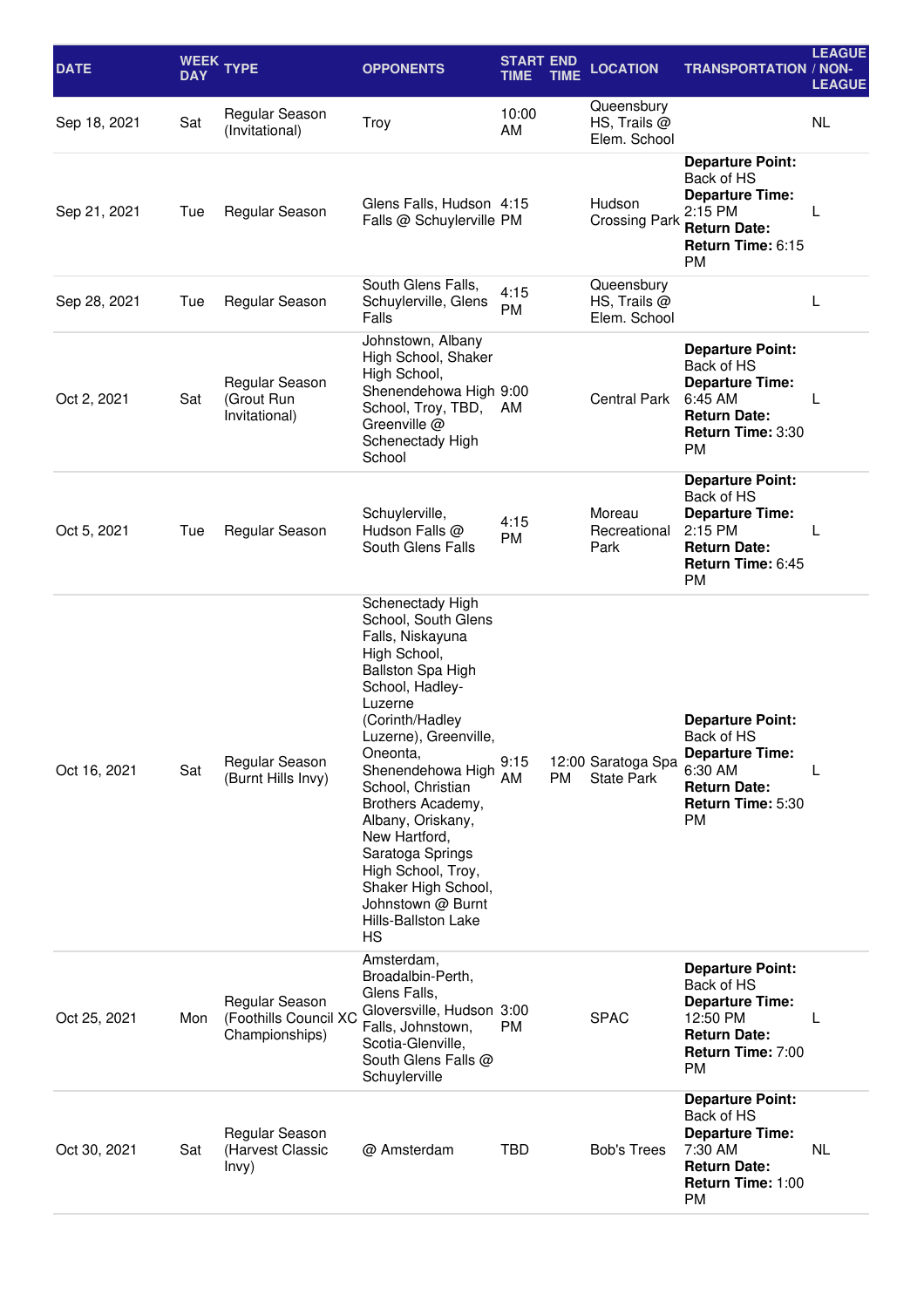| <b>DATE</b>  | <b>DAY</b> | WEEK TYPE                                                 | <b>OPPONENTS</b>                                                                                                                                                                                                                                                                                                                                                                                                                    | <b>START END</b><br>TIME | TIME | <b>LOCATION</b>                            | <b>TRANSPORTATION / NON-</b>                                                                                                         | <b>LEAGUE</b><br><b>LEAGUE</b> |
|--------------|------------|-----------------------------------------------------------|-------------------------------------------------------------------------------------------------------------------------------------------------------------------------------------------------------------------------------------------------------------------------------------------------------------------------------------------------------------------------------------------------------------------------------------|--------------------------|------|--------------------------------------------|--------------------------------------------------------------------------------------------------------------------------------------|--------------------------------|
| Sep 18, 2021 | Sat        | Regular Season<br>(Invitational)                          | Troy                                                                                                                                                                                                                                                                                                                                                                                                                                | 10:00<br>AM              |      | Queensbury<br>HS, Trails @<br>Elem. School |                                                                                                                                      | <b>NL</b>                      |
| Sep 21, 2021 | Tue        | Regular Season                                            | Glens Falls, Hudson 4:15<br>Falls @ Schuylerville PM                                                                                                                                                                                                                                                                                                                                                                                |                          |      | Hudson<br><b>Crossing Park</b>             | <b>Departure Point:</b><br>Back of HS<br><b>Departure Time:</b><br>2:15 PM<br><b>Return Date:</b><br>Return Time: 6:15<br><b>PM</b>  | L                              |
| Sep 28, 2021 | Tue        | Regular Season                                            | South Glens Falls,<br>Schuylerville, Glens<br>Falls                                                                                                                                                                                                                                                                                                                                                                                 | 4:15<br>PM               |      | Queensbury<br>HS, Trails @<br>Elem. School |                                                                                                                                      | L                              |
| Oct 2, 2021  | Sat        | Regular Season<br>(Grout Run<br>Invitational)             | Johnstown, Albany<br>High School, Shaker<br>High School,<br>Shenendehowa High 9:00<br>School, Troy, TBD,<br>Greenville @<br>Schenectady High<br>School                                                                                                                                                                                                                                                                              | AM                       |      | <b>Central Park</b>                        | <b>Departure Point:</b><br>Back of HS<br><b>Departure Time:</b><br>6:45 AM<br><b>Return Date:</b><br>Return Time: 3:30<br><b>PM</b>  | L                              |
| Oct 5, 2021  | Tue        | Regular Season                                            | Schuylerville,<br>Hudson Falls @<br>South Glens Falls                                                                                                                                                                                                                                                                                                                                                                               | 4:15<br>PM               |      | Moreau<br>Recreational<br>Park             | <b>Departure Point:</b><br>Back of HS<br><b>Departure Time:</b><br>2:15 PM<br><b>Return Date:</b><br>Return Time: 6:45<br><b>PM</b>  | L                              |
| Oct 16, 2021 | Sat        | Regular Season<br>(Burnt Hills Invy)                      | Schenectady High<br>School, South Glens<br>Falls, Niskayuna<br>High School,<br><b>Ballston Spa High</b><br>School, Hadley-<br>Luzerne<br>(Corinth/Hadley<br>Luzerne), Greenville,<br>Oneonta,<br>Shenendehowa High<br>School, Christian<br>Brothers Academy,<br>Albany, Oriskany,<br>New Hartford,<br>Saratoga Springs<br>High School, Troy,<br>Shaker High School,<br>Johnstown @ Burnt<br><b>Hills-Ballston Lake</b><br><b>HS</b> | 9:15<br>AM               | PM   | 12:00 Saratoga Spa<br><b>State Park</b>    | <b>Departure Point:</b><br>Back of HS<br><b>Departure Time:</b><br>6:30 AM<br><b>Return Date:</b><br>Return Time: 5:30<br>PM         |                                |
| Oct 25, 2021 | Mon        | Regular Season<br>(Foothills Council XC<br>Championships) | Amsterdam,<br>Broadalbin-Perth,<br>Glens Falls,<br>Gloversville, Hudson 3:00<br>Falls, Johnstown,<br>Scotia-Glenville,<br>South Glens Falls @<br>Schuylerville                                                                                                                                                                                                                                                                      | <b>PM</b>                |      | <b>SPAC</b>                                | <b>Departure Point:</b><br>Back of HS<br><b>Departure Time:</b><br>12:50 PM<br><b>Return Date:</b><br>Return Time: 7:00<br><b>PM</b> | $\mathbf{L}$                   |
| Oct 30, 2021 | Sat        | Regular Season<br>(Harvest Classic<br>lnvy)               | @ Amsterdam                                                                                                                                                                                                                                                                                                                                                                                                                         | TBD                      |      | <b>Bob's Trees</b>                         | <b>Departure Point:</b><br>Back of HS<br><b>Departure Time:</b><br>7:30 AM<br><b>Return Date:</b><br>Return Time: 1:00<br>PM         | <b>NL</b>                      |